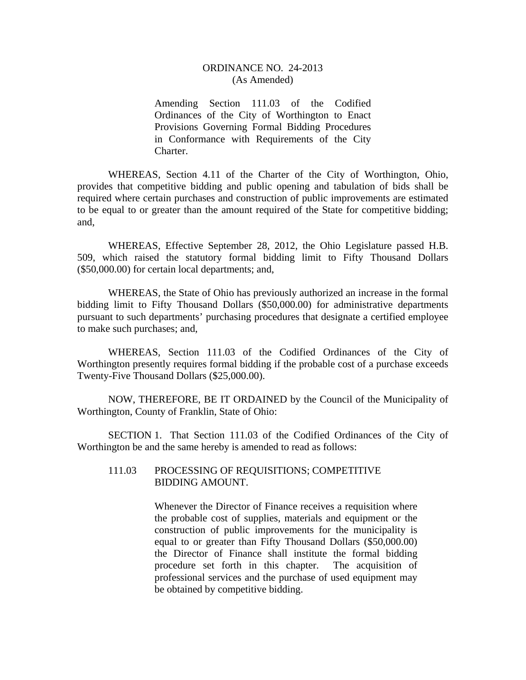## ORDINANCE NO. 24-2013 (As Amended)

Amending Section 111.03 of the Codified Ordinances of the City of Worthington to Enact Provisions Governing Formal Bidding Procedures in Conformance with Requirements of the City Charter.

WHEREAS, Section 4.11 of the Charter of the City of Worthington, Ohio, provides that competitive bidding and public opening and tabulation of bids shall be required where certain purchases and construction of public improvements are estimated to be equal to or greater than the amount required of the State for competitive bidding; and,

 WHEREAS, Effective September 28, 2012, the Ohio Legislature passed H.B. 509, which raised the statutory formal bidding limit to Fifty Thousand Dollars (\$50,000.00) for certain local departments; and,

 WHEREAS, the State of Ohio has previously authorized an increase in the formal bidding limit to Fifty Thousand Dollars (\$50,000.00) for administrative departments pursuant to such departments' purchasing procedures that designate a certified employee to make such purchases; and,

 WHEREAS, Section 111.03 of the Codified Ordinances of the City of Worthington presently requires formal bidding if the probable cost of a purchase exceeds Twenty-Five Thousand Dollars (\$25,000.00).

 NOW, THEREFORE, BE IT ORDAINED by the Council of the Municipality of Worthington, County of Franklin, State of Ohio:

 SECTION 1. That Section 111.03 of the Codified Ordinances of the City of Worthington be and the same hereby is amended to read as follows:

## 111.03 PROCESSING OF REQUISITIONS; COMPETITIVE BIDDING AMOUNT.

Whenever the Director of Finance receives a requisition where the probable cost of supplies, materials and equipment or the construction of public improvements for the municipality is equal to or greater than Fifty Thousand Dollars (\$50,000.00) the Director of Finance shall institute the formal bidding procedure set forth in this chapter. The acquisition of professional services and the purchase of used equipment may be obtained by competitive bidding.